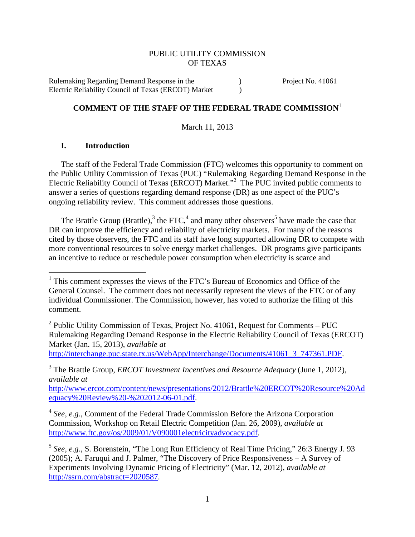#### PUBLIC UTILITY COMMISSION OF TEXAS

Rulemaking Regarding Demand Response in the  $P$ roject No. 41061 Electric Reliability Council of Texas (ERCOT) Market )

# **COMMENT OF THE STAFF OF THE FEDERAL TRADE COMMISSION**<sup>1</sup>

March 11, 2013

#### **I. Introduction**

The staff of the Federal Trade Commission (FTC) welcomes this opportunity to comment on the Public Utility Commission of Texas (PUC) "Rulemaking Regarding Demand Response in the Electric Reliability Council of Texas (ERCOT) Market."<sup>2</sup> The PUC invited public comments to answer a series of questions regarding demand response (DR) as one aspect of the PUC's ongoing reliability review. This comment addresses those questions.

The Brattle Group (Brattle),<sup>3</sup> the FTC,<sup>4</sup> and many other observers<sup>5</sup> have made the case that DR can improve the efficiency and reliability of electricity markets. For many of the reasons cited by those observers, the FTC and its staff have long supported allowing DR to compete with more conventional resources to solve energy market challenges. DR programs give participants an incentive to reduce or reschedule power consumption when electricity is scarce and

http://interchange.puc.state.tx.us/WebApp/Interchange/Documents/41061\_3\_747361.PDF.

http://www.ercot.com/content/news/presentations/2012/Brattle%20ERCOT%20Resource%20Ad equacy%20Review%20-%202012-06-01.pdf.

<sup>&</sup>lt;sup>1</sup> This comment expresses the views of the FTC's Bureau of Economics and Office of the General Counsel. The comment does not necessarily represent the views of the FTC or of any individual Commissioner. The Commission, however, has voted to authorize the filing of this comment.

 $2$  Public Utility Commission of Texas, Project No. 41061, Request for Comments – PUC Rulemaking Regarding Demand Response in the Electric Reliability Council of Texas (ERCOT) Market (Jan. 15, 2013), *available at*

<sup>3</sup> The Brattle Group, *ERCOT Investment Incentives and Resource Adequacy* (June 1, 2012), *available at*

<sup>4</sup> *See*, *e.g.*, Comment of the Federal Trade Commission Before the Arizona Corporation Commission, Workshop on Retail Electric Competition (Jan. 26, 2009), *available at* http://www.ftc.gov/os/2009/01/V090001electricityadvocacy.pdf.

<sup>5</sup> *See*, *e.g*., S. Borenstein, "The Long Run Efficiency of Real Time Pricing," 26:3 Energy J. 93 (2005); A. Faruqui and J. Palmer, "The Discovery of Price Responsiveness – A Survey of Experiments Involving Dynamic Pricing of Electricity" (Mar. 12, 2012), *available at* http://ssrn.com/abstract=2020587.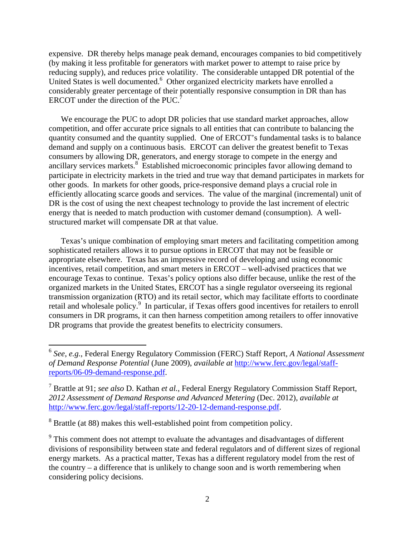expensive. DR thereby helps manage peak demand, encourages companies to bid competitively (by making it less profitable for generators with market power to attempt to raise price by reducing supply), and reduces price volatility. The considerable untapped DR potential of the United States is well documented.<sup>6</sup> Other organized electricity markets have enrolled a considerably greater percentage of their potentially responsive consumption in DR than has ERCOT under the direction of the PUC.<sup>7</sup>

We encourage the PUC to adopt DR policies that use standard market approaches, allow competition, and offer accurate price signals to all entities that can contribute to balancing the quantity consumed and the quantity supplied. One of ERCOT's fundamental tasks is to balance demand and supply on a continuous basis. ERCOT can deliver the greatest benefit to Texas consumers by allowing DR, generators, and energy storage to compete in the energy and ancillary services markets.<sup>8</sup> Established microeconomic principles favor allowing demand to participate in electricity markets in the tried and true way that demand participates in markets for other goods. In markets for other goods, price-responsive demand plays a crucial role in efficiently allocating scarce goods and services. The value of the marginal (incremental) unit of DR is the cost of using the next cheapest technology to provide the last increment of electric energy that is needed to match production with customer demand (consumption). A wellstructured market will compensate DR at that value.

Texas's unique combination of employing smart meters and facilitating competition among sophisticated retailers allows it to pursue options in ERCOT that may not be feasible or appropriate elsewhere. Texas has an impressive record of developing and using economic incentives, retail competition, and smart meters in ERCOT – well-advised practices that we encourage Texas to continue. Texas's policy options also differ because, unlike the rest of the organized markets in the United States, ERCOT has a single regulator overseeing its regional transmission organization (RTO) and its retail sector, which may facilitate efforts to coordinate retail and wholesale policy.<sup>9</sup> In particular, if Texas offers good incentives for retailers to enroll consumers in DR programs, it can then harness competition among retailers to offer innovative DR programs that provide the greatest benefits to electricity consumers.

<sup>6</sup> *See*, *e.g.*, Federal Energy Regulatory Commission (FERC) Staff Report, *A National Assessment of Demand Response Potential* (June 2009), *available at* http://www.ferc.gov/legal/staffreports/06-09-demand-response.pdf.

<sup>7</sup> Brattle at 91; *see also* D. Kathan *et al.*, Federal Energy Regulatory Commission Staff Report, *2012 Assessment of Demand Response and Advanced Metering* (Dec. 2012), *available at* http://www.ferc.gov/legal/staff-reports/12-20-12-demand-response.pdf.

<sup>&</sup>lt;sup>8</sup> Brattle (at 88) makes this well-established point from competition policy.

 $9<sup>9</sup>$  This comment does not attempt to evaluate the advantages and disadvantages of different divisions of responsibility between state and federal regulators and of different sizes of regional energy markets. As a practical matter, Texas has a different regulatory model from the rest of the country – a difference that is unlikely to change soon and is worth remembering when considering policy decisions.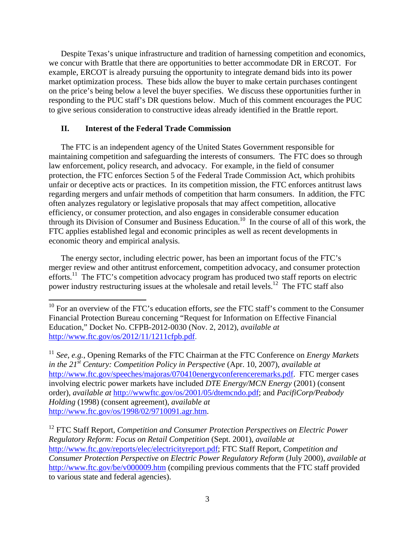Despite Texas's unique infrastructure and tradition of harnessing competition and economics, we concur with Brattle that there are opportunities to better accommodate DR in ERCOT. For example, ERCOT is already pursuing the opportunity to integrate demand bids into its power market optimization process. These bids allow the buyer to make certain purchases contingent on the price's being below a level the buyer specifies. We discuss these opportunities further in responding to the PUC staff's DR questions below. Much of this comment encourages the PUC to give serious consideration to constructive ideas already identified in the Brattle report.

#### **II. Interest of the Federal Trade Commission**

The FTC is an independent agency of the United States Government responsible for maintaining competition and safeguarding the interests of consumers. The FTC does so through law enforcement, policy research, and advocacy. For example, in the field of consumer protection, the FTC enforces Section 5 of the Federal Trade Commission Act, which prohibits unfair or deceptive acts or practices. In its competition mission, the FTC enforces antitrust laws regarding mergers and unfair methods of competition that harm consumers. In addition, the FTC often analyzes regulatory or legislative proposals that may affect competition, allocative efficiency, or consumer protection, and also engages in considerable consumer education through its Division of Consumer and Business Education.<sup>10</sup> In the course of all of this work, the FTC applies established legal and economic principles as well as recent developments in economic theory and empirical analysis.

The energy sector, including electric power, has been an important focus of the FTC's merger review and other antitrust enforcement, competition advocacy, and consumer protection efforts.<sup>11</sup> The FTC's competition advocacy program has produced two staff reports on electric power industry restructuring issues at the wholesale and retail levels.<sup>12</sup> The FTC staff also

<sup>&</sup>lt;sup>10</sup> For an overview of the FTC's education efforts, *see* the FTC staff's comment to the Consumer Financial Protection Bureau concerning "Request for Information on Effective Financial Education," Docket No. CFPB-2012-0030 (Nov. 2, 2012), *available at*  http://www.ftc.gov/os/2012/11/1211cfpb.pdf.

<sup>11</sup> *See*, *e.g.*, Opening Remarks of the FTC Chairman at the FTC Conference on *Energy Markets in the 21st Century: Competition Policy in Perspective* (Apr. 10, 2007), *available at* http://www.ftc.gov/speeches/majoras/070410energyconferenceremarks.pdf. FTC merger cases involving electric power markets have included *DTE Energy/MCN Energy* (2001) (consent order), *available at* http://wwwftc.gov/os/2001/05/dtemcndo.pdf; and *PacifiCorp/Peabody Holding* (1998) (consent agreement), *available at* http://www.ftc.gov/os/1998/02/9710091.agr.htm.

<sup>&</sup>lt;sup>12</sup> FTC Staff Report, *Competition and Consumer Protection Perspectives on Electric Power Regulatory Reform: Focus on Retail Competition* (Sept. 2001), *available at* http://www.ftc.gov/reports/elec/electricityreport.pdf; FTC Staff Report, *Competition and Consumer Protection Perspective on Electric Power Regulatory Reform* (July 2000), *available at* http://www.ftc.gov/be/v000009.htm (compiling previous comments that the FTC staff provided to various state and federal agencies).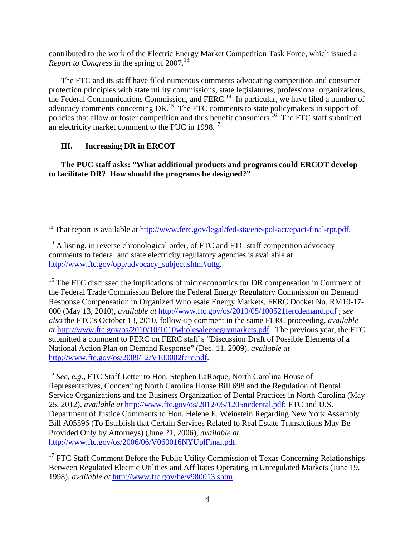contributed to the work of the Electric Energy Market Competition Task Force, which issued a *Report to Congress* in the spring of 2007.<sup>13</sup>

The FTC and its staff have filed numerous comments advocating competition and consumer protection principles with state utility commissions, state legislatures, professional organizations, the Federal Communications Commission, and FERC.<sup>14</sup> In particular, we have filed a number of advocacy comments concerning DR.<sup>15</sup> The FTC comments to state policymakers in support of policies that allow or foster competition and thus benefit consumers.<sup>16</sup> The FTC staff submitted an electricity market comment to the PUC in 1998.<sup>17</sup>

## **III. Increasing DR in ERCOT**

**The PUC staff asks: "What additional products and programs could ERCOT develop to facilitate DR? How should the programs be designed?"** 

<sup>15</sup> The FTC discussed the implications of microeconomics for DR compensation in Comment of the Federal Trade Commission Before the Federal Energy Regulatory Commission on Demand Response Compensation in Organized Wholesale Energy Markets, FERC Docket No. RM10-17- 000 (May 13, 2010), *available at* http://www.ftc.gov/os/2010/05/100521fercdemand.pdf ; *see also* the FTC's October 13, 2010, follow-up comment in the same FERC proceeding, *available at* http://www.ftc.gov/os/2010/10/1010wholesaleenegrymarkets.pdf. The previous year, the FTC submitted a comment to FERC on FERC staff's "Discussion Draft of Possible Elements of a National Action Plan on Demand Response" (Dec. 11, 2009), *available at* http://www.ftc.gov/os/2009/12/V100002ferc.pdf.

<sup>16</sup> *See*, *e.g*., FTC Staff Letter to Hon. Stephen LaRoque, North Carolina House of Representatives, Concerning North Carolina House Bill 698 and the Regulation of Dental Service Organizations and the Business Organization of Dental Practices in North Carolina (May 25, 2012), *available at* http://www.ftc.gov/os/2012/05/1205ncdental.pdf; FTC and U.S. Department of Justice Comments to Hon. Helene E. Weinstein Regarding New York Assembly Bill A05596 (To Establish that Certain Services Related to Real Estate Transactions May Be Provided Only by Attorneys) (June 21, 2006), *available at*  http://www.ftc.gov/os/2006/06/V060016NYUplFinal.pdf.

<sup>17</sup> FTC Staff Comment Before the Public Utility Commission of Texas Concerning Relationships Between Regulated Electric Utilities and Affiliates Operating in Unregulated Markets (June 19, 1998), *available at* http://www.ftc.gov/be/v980013.shtm.

<sup>&</sup>lt;sup>13</sup> That report is available at http://www.ferc.gov/legal/fed-sta/ene-pol-act/epact-final-rpt.pdf.

 $14$  A listing, in reverse chronological order, of FTC and FTC staff competition advocacy comments to federal and state electricity regulatory agencies is available at http://www.ftc.gov/opp/advocacy\_subject.shtm#uttg.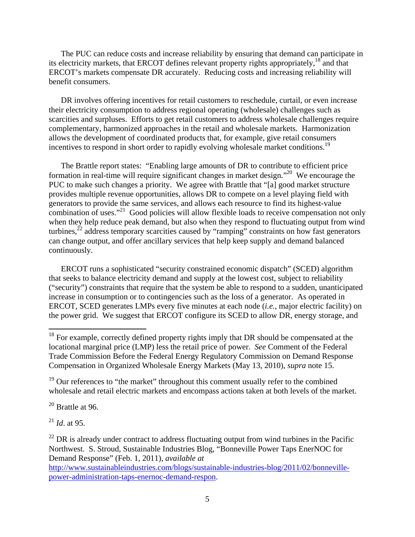The PUC can reduce costs and increase reliability by ensuring that demand can participate in its electricity markets, that ERCOT defines relevant property rights appropriately, $18$  and that ERCOT's markets compensate DR accurately. Reducing costs and increasing reliability will benefit consumers.

DR involves offering incentives for retail customers to reschedule, curtail, or even increase their electricity consumption to address regional operating (wholesale) challenges such as scarcities and surpluses. Efforts to get retail customers to address wholesale challenges require complementary, harmonized approaches in the retail and wholesale markets. Harmonization allows the development of coordinated products that, for example, give retail consumers incentives to respond in short order to rapidly evolving wholesale market conditions.<sup>19</sup>

The Brattle report states: "Enabling large amounts of DR to contribute to efficient price formation in real-time will require significant changes in market design."20 We encourage the PUC to make such changes a priority. We agree with Brattle that "[a] good market structure provides multiple revenue opportunities, allows DR to compete on a level playing field with generators to provide the same services, and allows each resource to find its highest-value combination of uses."<sup>21</sup> Good policies will allow flexible loads to receive compensation not only when they help reduce peak demand, but also when they respond to fluctuating output from wind turbines, $^{22}$  address temporary scarcities caused by "ramping" constraints on how fast generators can change output, and offer ancillary services that help keep supply and demand balanced continuously.

ERCOT runs a sophisticated "security constrained economic dispatch" (SCED) algorithm that seeks to balance electricity demand and supply at the lowest cost, subject to reliability ("security") constraints that require that the system be able to respond to a sudden, unanticipated increase in consumption or to contingencies such as the loss of a generator. As operated in ERCOT, SCED generates LMPs every five minutes at each node (*i.e.*, major electric facility) on the power grid. We suggest that ERCOT configure its SCED to allow DR, energy storage, and

 $19$  Our references to "the market" throughout this comment usually refer to the combined wholesale and retail electric markets and encompass actions taken at both levels of the market.

 $20$  Brattle at 96.

<sup>21</sup> *Id*. at 95.

 $^{22}$  DR is already under contract to address fluctuating output from wind turbines in the Pacific Northwest. S. Stroud, Sustainable Industries Blog, "Bonneville Power Taps EnerNOC for Demand Response" (Feb. 1, 2011), *available at*

 $18$  For example, correctly defined property rights imply that DR should be compensated at the locational marginal price (LMP) less the retail price of power. *See* Comment of the Federal Trade Commission Before the Federal Energy Regulatory Commission on Demand Response Compensation in Organized Wholesale Energy Markets (May 13, 2010), *supra* note 15.

http://www.sustainableindustries.com/blogs/sustainable-industries-blog/2011/02/bonnevillepower-administration-taps-enernoc-demand-respon.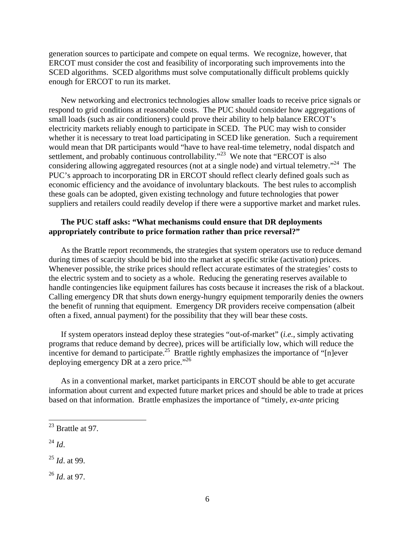generation sources to participate and compete on equal terms. We recognize, however, that ERCOT must consider the cost and feasibility of incorporating such improvements into the SCED algorithms. SCED algorithms must solve computationally difficult problems quickly enough for ERCOT to run its market.

New networking and electronics technologies allow smaller loads to receive price signals or respond to grid conditions at reasonable costs. The PUC should consider how aggregations of small loads (such as air conditioners) could prove their ability to help balance ERCOT's electricity markets reliably enough to participate in SCED. The PUC may wish to consider whether it is necessary to treat load participating in SCED like generation. Such a requirement would mean that DR participants would "have to have real-time telemetry, nodal dispatch and settlement, and probably continuous controllability."<sup>23</sup> We note that "ERCOT is also considering allowing aggregated resources (not at a single node) and virtual telemetry."<sup>24</sup> The PUC's approach to incorporating DR in ERCOT should reflect clearly defined goals such as economic efficiency and the avoidance of involuntary blackouts. The best rules to accomplish these goals can be adopted, given existing technology and future technologies that power suppliers and retailers could readily develop if there were a supportive market and market rules.

#### **The PUC staff asks: "What mechanisms could ensure that DR deployments appropriately contribute to price formation rather than price reversal?"**

As the Brattle report recommends, the strategies that system operators use to reduce demand during times of scarcity should be bid into the market at specific strike (activation) prices. Whenever possible, the strike prices should reflect accurate estimates of the strategies' costs to the electric system and to society as a whole. Reducing the generating reserves available to handle contingencies like equipment failures has costs because it increases the risk of a blackout. Calling emergency DR that shuts down energy-hungry equipment temporarily denies the owners the benefit of running that equipment. Emergency DR providers receive compensation (albeit often a fixed, annual payment) for the possibility that they will bear these costs.

If system operators instead deploy these strategies "out-of-market" (*i.e.*, simply activating programs that reduce demand by decree), prices will be artificially low, which will reduce the incentive for demand to participate.<sup>25</sup> Brattle rightly emphasizes the importance of "[n]ever deploying emergency DR at a zero price."<sup>26</sup>

As in a conventional market, market participants in ERCOT should be able to get accurate information about current and expected future market prices and should be able to trade at prices based on that information. Brattle emphasizes the importance of "timely, *ex-ante* pricing

<sup>24</sup> *Id*.

<sup>25</sup> *Id*. at 99.

<sup>26</sup> *Id*. at 97.

 $^{23}$  Brattle at 97.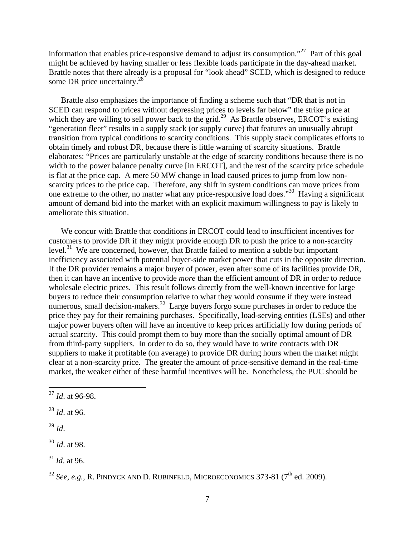information that enables price-responsive demand to adjust its consumption."27 Part of this goal might be achieved by having smaller or less flexible loads participate in the day-ahead market. Brattle notes that there already is a proposal for "look ahead" SCED, which is designed to reduce some DR price uncertainty.<sup>28</sup>

Brattle also emphasizes the importance of finding a scheme such that "DR that is not in SCED can respond to prices without depressing prices to levels far below" the strike price at which they are willing to sell power back to the grid.<sup>29</sup> As Brattle observes, ERCOT's existing "generation fleet" results in a supply stack (or supply curve) that features an unusually abrupt transition from typical conditions to scarcity conditions. This supply stack complicates efforts to obtain timely and robust DR, because there is little warning of scarcity situations. Brattle elaborates: "Prices are particularly unstable at the edge of scarcity conditions because there is no width to the power balance penalty curve [in ERCOT], and the rest of the scarcity price schedule is flat at the price cap. A mere 50 MW change in load caused prices to jump from low nonscarcity prices to the price cap. Therefore, any shift in system conditions can move prices from one extreme to the other, no matter what any price-responsive load does."<sup>30</sup> Having a significant amount of demand bid into the market with an explicit maximum willingness to pay is likely to ameliorate this situation.

We concur with Brattle that conditions in ERCOT could lead to insufficient incentives for customers to provide DR if they might provide enough DR to push the price to a non-scarcity level.<sup>31</sup> We are concerned, however, that Brattle failed to mention a subtle but important inefficiency associated with potential buyer-side market power that cuts in the opposite direction. If the DR provider remains a major buyer of power, even after some of its facilities provide DR, then it can have an incentive to provide *more* than the efficient amount of DR in order to reduce wholesale electric prices. This result follows directly from the well-known incentive for large buyers to reduce their consumption relative to what they would consume if they were instead numerous, small decision-makers.<sup>32</sup> Large buyers forgo some purchases in order to reduce the price they pay for their remaining purchases. Specifically, load-serving entities (LSEs) and other major power buyers often will have an incentive to keep prices artificially low during periods of actual scarcity. This could prompt them to buy more than the socially optimal amount of DR from third-party suppliers. In order to do so, they would have to write contracts with DR suppliers to make it profitable (on average) to provide DR during hours when the market might clear at a non-scarcity price. The greater the amount of price-sensitive demand in the real-time market, the weaker either of these harmful incentives will be. Nonetheless, the PUC should be

<sup>29</sup> *Id*.

<sup>30</sup> *Id*. at 98.

 $31$  *Id.* at 96.

<sup>27</sup> *Id*. at 96-98.

<sup>28</sup> *Id*. at 96.

<sup>&</sup>lt;sup>32</sup> *See*, *e.g.*, R. PINDYCK AND D. RUBINFELD, MICROECONOMICS 373-81 (7<sup>th</sup> ed. 2009).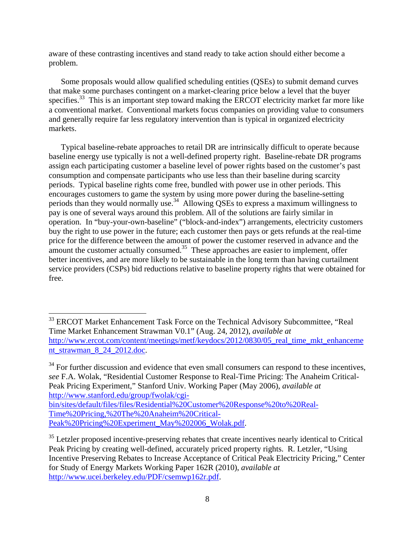aware of these contrasting incentives and stand ready to take action should either become a problem.

Some proposals would allow qualified scheduling entities (QSEs) to submit demand curves that make some purchases contingent on a market-clearing price below a level that the buyer specifies.<sup>33</sup> This is an important step toward making the ERCOT electricity market far more like a conventional market. Conventional markets focus companies on providing value to consumers and generally require far less regulatory intervention than is typical in organized electricity markets.

Typical baseline-rebate approaches to retail DR are intrinsically difficult to operate because baseline energy use typically is not a well-defined property right. Baseline-rebate DR programs assign each participating customer a baseline level of power rights based on the customer's past consumption and compensate participants who use less than their baseline during scarcity periods. Typical baseline rights come free, bundled with power use in other periods. This encourages customers to game the system by using more power during the baseline-setting periods than they would normally use.<sup>34</sup> Allowing QSEs to express a maximum willingness to pay is one of several ways around this problem. All of the solutions are fairly similar in operation. In "buy-your-own-baseline" ("block-and-index") arrangements, electricity customers buy the right to use power in the future; each customer then pays or gets refunds at the real-time price for the difference between the amount of power the customer reserved in advance and the amount the customer actually consumed.<sup>35</sup> These approaches are easier to implement, offer better incentives, and are more likely to be sustainable in the long term than having curtailment service providers (CSPs) bid reductions relative to baseline property rights that were obtained for free.

 $34$  For further discussion and evidence that even small consumers can respond to these incentives, *see* F.A. Wolak, "Residential Customer Response to Real-Time Pricing: The Anaheim Critical-Peak Pricing Experiment," Stanford Univ. Working Paper (May 2006), *available at* http://www.stanford.edu/group/fwolak/cgibin/sites/default/files/files/Residential%20Customer%20Response%20to%20Real-Time%20Pricing,%20The%20Anaheim%20Critical-Peak%20Pricing%20Experiment\_May%202006\_Wolak.pdf.

<sup>&</sup>lt;sup>33</sup> ERCOT Market Enhancement Task Force on the Technical Advisory Subcommittee, "Real Time Market Enhancement Strawman V0.1" (Aug. 24, 2012), *available at* http://www.ercot.com/content/meetings/metf/keydocs/2012/0830/05 real time mkt enhanceme nt\_strawman\_8\_24\_2012.doc.

<sup>&</sup>lt;sup>35</sup> Letzler proposed incentive-preserving rebates that create incentives nearly identical to Critical Peak Pricing by creating well-defined, accurately priced property rights. R. Letzler, "Using Incentive Preserving Rebates to Increase Acceptance of Critical Peak Electricity Pricing," Center for Study of Energy Markets Working Paper 162R (2010), *available at* http://www.ucei.berkeley.edu/PDF/csemwp162r.pdf.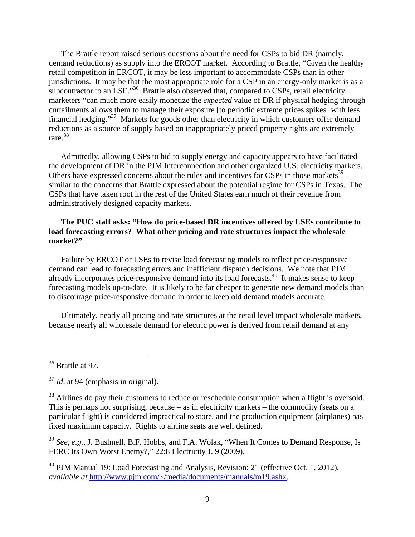The Brattle report raised serious questions about the need for CSPs to bid DR (namely, demand reductions) as supply into the ERCOT market. According to Brattle, "Given the healthy retail competition in ERCOT, it may be less important to accommodate CSPs than in other jurisdictions. It may be that the most appropriate role for a CSP in an energy-only market is as a subcontractor to an LSE."<sup>36</sup> Brattle also observed that, compared to CSPs, retail electricity marketers "can much more easily monetize the *expected* value of DR if physical hedging through curtailments allows them to manage their exposure [to periodic extreme prices spikes] with less financial hedging."37 Markets for goods other than electricity in which customers offer demand reductions as a source of supply based on inappropriately priced property rights are extremely rare.38

Admittedly, allowing CSPs to bid to supply energy and capacity appears to have facilitated the development of DR in the PJM Interconnection and other organized U.S. electricity markets. Others have expressed concerns about the rules and incentives for CSPs in those markets<sup>39</sup> similar to the concerns that Brattle expressed about the potential regime for CSPs in Texas. The CSPs that have taken root in the rest of the United States earn much of their revenue from administratively designed capacity markets.

#### **The PUC staff asks: "How do price-based DR incentives offered by LSEs contribute to load forecasting errors? What other pricing and rate structures impact the wholesale market?"**

Failure by ERCOT or LSEs to revise load forecasting models to reflect price-responsive demand can lead to forecasting errors and inefficient dispatch decisions. We note that PJM already incorporates price-responsive demand into its load forecasts.<sup>40</sup> It makes sense to keep forecasting models up-to-date. It is likely to be far cheaper to generate new demand models than to discourage price-responsive demand in order to keep old demand models accurate.

Ultimately, nearly all pricing and rate structures at the retail level impact wholesale markets, because nearly all wholesale demand for electric power is derived from retail demand at any

<sup>39</sup> *See*, *e.g.*, J. Bushnell, B.F. Hobbs, and F.A. Wolak, "When It Comes to Demand Response, Is FERC Its Own Worst Enemy?," 22:8 Electricity J. 9 (2009).

<sup>40</sup> PJM Manual 19: Load Forecasting and Analysis, Revision: 21 (effective Oct. 1, 2012), *available at* http://www.pjm.com/~/media/documents/manuals/m19.ashx.

<sup>&</sup>lt;sup>36</sup> Brattle at 97.

<sup>&</sup>lt;sup>37</sup> *Id.* at 94 (emphasis in original).

 $38$  Airlines do pay their customers to reduce or reschedule consumption when a flight is oversold. This is perhaps not surprising, because – as in electricity markets – the commodity (seats on a particular flight) is considered impractical to store, and the production equipment (airplanes) has fixed maximum capacity. Rights to airline seats are well defined.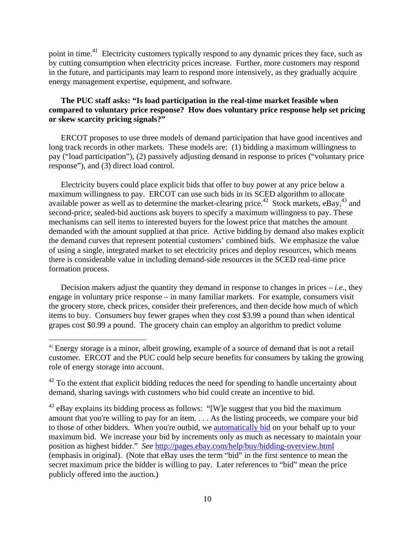point in time.<sup>41</sup> Electricity customers typically respond to any dynamic prices they face, such as by cutting consumption when electricity prices increase. Further, more customers may respond in the future, and participants may learn to respond more intensively, as they gradually acquire energy management expertise, equipment, and software.

## **The PUC staff asks: "Is load participation in the real-time market feasible when compared to voluntary price response? How does voluntary price response help set pricing or skew scarcity pricing signals?"**

ERCOT proposes to use three models of demand participation that have good incentives and long track records in other markets. These models are: (1) bidding a maximum willingness to pay ("load participation"), (2) passively adjusting demand in response to prices ("voluntary price response"), and (3) direct load control.

Electricity buyers could place explicit bids that offer to buy power at any price below a maximum willingness to pay. ERCOT can use such bids in its SCED algorithm to allocate available power as well as to determine the market-clearing price.<sup>42</sup> Stock markets, eBay,<sup>43</sup> and second-price, sealed-bid auctions ask buyers to specify a maximum willingness to pay. These mechanisms can sell items to interested buyers for the lowest price that matches the amount demanded with the amount supplied at that price. Active bidding by demand also makes explicit the demand curves that represent potential customers' combined bids. We emphasize the value of using a single, integrated market to set electricity prices and deploy resources, which means there is considerable value in including demand-side resources in the SCED real-time price formation process.

Decision makers adjust the quantity they demand in response to changes in prices  $-i.e.,$  they engage in voluntary price response – in many familiar markets. For example, consumers visit the grocery store, check prices, consider their preferences, and then decide how much of which items to buy. Consumers buy fewer grapes when they cost \$3.99 a pound than when identical grapes cost \$0.99 a pound. The grocery chain can employ an algorithm to predict volume

<sup>&</sup>lt;sup>41</sup> Energy storage is a minor, albeit growing, example of a source of demand that is not a retail customer. ERCOT and the PUC could help secure benefits for consumers by taking the growing role of energy storage into account.

<sup>&</sup>lt;sup>42</sup> To the extent that explicit bidding reduces the need for spending to handle uncertainty about demand, sharing savings with customers who bid could create an incentive to bid.

 $43$  eBay explains its bidding process as follows: "[W]e suggest that you bid the maximum amount that you're willing to pay for an item. . . . As the listing proceeds, we compare your bid to those of other bidders. When you're outbid, we automatically bid on your behalf up to your maximum bid. We increase your bid by increments only as much as necessary to maintain your position as highest bidder." *See* http://pages.ebay.com/help/buy/bidding-overview.html (emphasis in original). (Note that eBay uses the term "bid" in the first sentence to mean the secret maximum price the bidder is willing to pay. Later references to "bid" mean the price publicly offered into the auction.)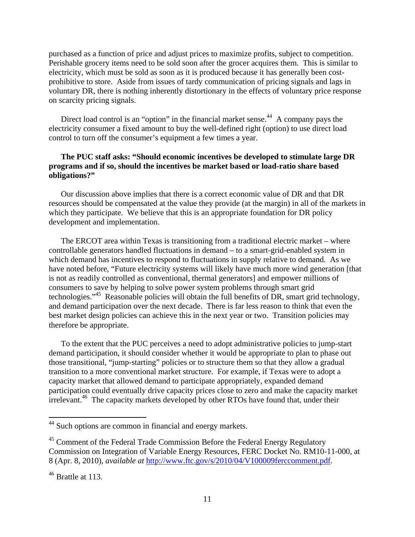purchased as a function of price and adjust prices to maximize profits, subject to competition. Perishable grocery items need to be sold soon after the grocer acquires them. This is similar to electricity, which must be sold as soon as it is produced because it has generally been costprohibitive to store. Aside from issues of tardy communication of pricing signals and lags in voluntary DR, there is nothing inherently distortionary in the effects of voluntary price response on scarcity pricing signals.

Direct load control is an "option" in the financial market sense.<sup>44</sup> A company pays the electricity consumer a fixed amount to buy the well-defined right (option) to use direct load control to turn off the consumer's equipment a few times a year.

## **The PUC staff asks: "Should economic incentives be developed to stimulate large DR programs and if so, should the incentives be market based or load-ratio share based obligations?"**

Our discussion above implies that there is a correct economic value of DR and that DR resources should be compensated at the value they provide (at the margin) in all of the markets in which they participate. We believe that this is an appropriate foundation for DR policy development and implementation.

The ERCOT area within Texas is transitioning from a traditional electric market – where controllable generators handled fluctuations in demand – to a smart-grid-enabled system in which demand has incentives to respond to fluctuations in supply relative to demand. As we have noted before, "Future electricity systems will likely have much more wind generation [that is not as readily controlled as conventional, thermal generators] and empower millions of consumers to save by helping to solve power system problems through smart grid technologies."<sup>45</sup> Reasonable policies will obtain the full benefits of DR, smart grid technology, and demand participation over the next decade. There is far less reason to think that even the best market design policies can achieve this in the next year or two. Transition policies may therefore be appropriate.

To the extent that the PUC perceives a need to adopt administrative policies to jump-start demand participation, it should consider whether it would be appropriate to plan to phase out those transitional, "jump-starting" policies or to structure them so that they allow a gradual transition to a more conventional market structure. For example, if Texas were to adopt a capacity market that allowed demand to participate appropriately, expanded demand participation could eventually drive capacity prices close to zero and make the capacity market irrelevant.<sup>46</sup> The capacity markets developed by other RTOs have found that, under their

<sup>&</sup>lt;sup>44</sup> Such options are common in financial and energy markets.

 $45$  Comment of the Federal Trade Commission Before the Federal Energy Regulatory Commission on Integration of Variable Energy Resources, FERC Docket No. RM10-11-000, at 8 (Apr. 8, 2010), *available at* http://www.ftc.gov/s/2010/04/V100009ferccomment.pdf.

<sup>&</sup>lt;sup>46</sup> Brattle at 113.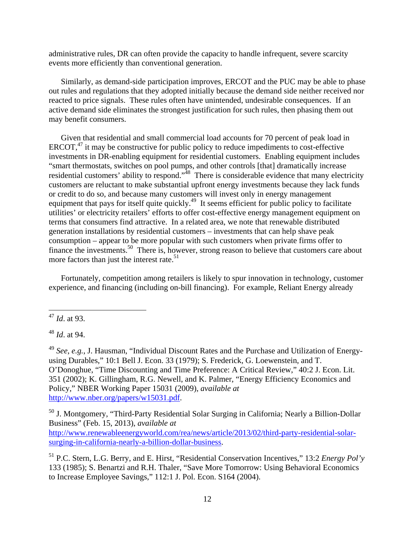administrative rules, DR can often provide the capacity to handle infrequent, severe scarcity events more efficiently than conventional generation.

Similarly, as demand-side participation improves, ERCOT and the PUC may be able to phase out rules and regulations that they adopted initially because the demand side neither received nor reacted to price signals. These rules often have unintended, undesirable consequences. If an active demand side eliminates the strongest justification for such rules, then phasing them out may benefit consumers.

Given that residential and small commercial load accounts for 70 percent of peak load in ERCOT, $47$  it may be constructive for public policy to reduce impediments to cost-effective investments in DR-enabling equipment for residential customers. Enabling equipment includes "smart thermostats, switches on pool pumps, and other controls [that] dramatically increase residential customers' ability to respond."<sup>48</sup> There is considerable evidence that many electricity customers are reluctant to make substantial upfront energy investments because they lack funds or credit to do so, and because many customers will invest only in energy management equipment that pays for itself quite quickly.<sup>49</sup> It seems efficient for public policy to facilitate utilities' or electricity retailers' efforts to offer cost-effective energy management equipment on terms that consumers find attractive. In a related area, we note that renewable distributed generation installations by residential customers – investments that can help shave peak consumption – appear to be more popular with such customers when private firms offer to finance the investments.<sup>50</sup> There is, however, strong reason to believe that customers care about more factors than just the interest rate.<sup>51</sup>

Fortunately, competition among retailers is likely to spur innovation in technology, customer experience, and financing (including on-bill financing). For example, Reliant Energy already

<sup>48</sup> *Id*. at 94.

<sup>50</sup> J. Montgomery, "Third-Party Residential Solar Surging in California; Nearly a Billion-Dollar Business" (Feb. 15, 2013), *available at* http://www.renewableenergyworld.com/rea/news/article/2013/02/third-party-residential-solarsurging-in-california-nearly-a-billion-dollar-business.

51 P.C. Stern, L.G. Berry, and E. Hirst, "Residential Conservation Incentives," 13:2 *Energy Pol'y* 133 (1985); S. Benartzi and R.H. Thaler, "Save More Tomorrow: Using Behavioral Economics to Increase Employee Savings," 112:1 J. Pol. Econ. S164 (2004).

<sup>47</sup> *Id*. at 93.

<sup>49</sup> *See*, *e.g.*, J. Hausman, "Individual Discount Rates and the Purchase and Utilization of Energyusing Durables," 10:1 Bell J. Econ. 33 (1979); S. Frederick, G. Loewenstein, and T. O'Donoghue, "Time Discounting and Time Preference: A Critical Review," 40:2 J. Econ. Lit. 351 (2002); K. Gillingham, R.G. Newell, and K. Palmer, "Energy Efficiency Economics and Policy," NBER Working Paper 15031 (2009), *available at* http://www.nber.org/papers/w15031.pdf.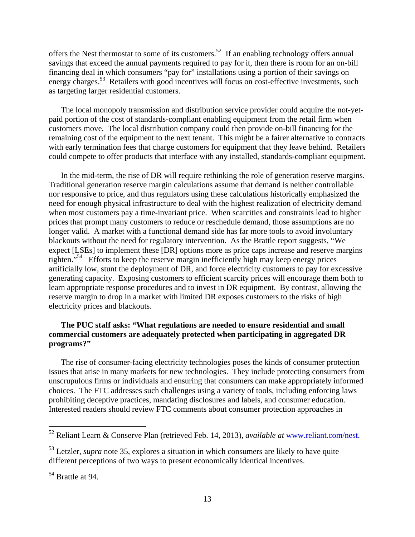offers the Nest thermostat to some of its customers.<sup>52</sup> If an enabling technology offers annual savings that exceed the annual payments required to pay for it, then there is room for an on-bill financing deal in which consumers "pay for" installations using a portion of their savings on energy charges.<sup>53</sup> Retailers with good incentives will focus on cost-effective investments, such as targeting larger residential customers.

The local monopoly transmission and distribution service provider could acquire the not-yetpaid portion of the cost of standards-compliant enabling equipment from the retail firm when customers move. The local distribution company could then provide on-bill financing for the remaining cost of the equipment to the next tenant. This might be a fairer alternative to contracts with early termination fees that charge customers for equipment that they leave behind. Retailers could compete to offer products that interface with any installed, standards-compliant equipment.

In the mid-term, the rise of DR will require rethinking the role of generation reserve margins. Traditional generation reserve margin calculations assume that demand is neither controllable nor responsive to price, and thus regulators using these calculations historically emphasized the need for enough physical infrastructure to deal with the highest realization of electricity demand when most customers pay a time-invariant price. When scarcities and constraints lead to higher prices that prompt many customers to reduce or reschedule demand, those assumptions are no longer valid. A market with a functional demand side has far more tools to avoid involuntary blackouts without the need for regulatory intervention. As the Brattle report suggests, "We expect [LSEs] to implement these [DR] options more as price caps increase and reserve margins tighten."54 Efforts to keep the reserve margin inefficiently high may keep energy prices artificially low, stunt the deployment of DR, and force electricity customers to pay for excessive generating capacity. Exposing customers to efficient scarcity prices will encourage them both to learn appropriate response procedures and to invest in DR equipment. By contrast, allowing the reserve margin to drop in a market with limited DR exposes customers to the risks of high electricity prices and blackouts.

## **The PUC staff asks: "What regulations are needed to ensure residential and small commercial customers are adequately protected when participating in aggregated DR programs?"**

The rise of consumer-facing electricity technologies poses the kinds of consumer protection issues that arise in many markets for new technologies. They include protecting consumers from unscrupulous firms or individuals and ensuring that consumers can make appropriately informed choices. The FTC addresses such challenges using a variety of tools, including enforcing laws prohibiting deceptive practices, mandating disclosures and labels, and consumer education. Interested readers should review FTC comments about consumer protection approaches in

<sup>52</sup> Reliant Learn & Conserve Plan (retrieved Feb. 14, 2013), *available at* www.reliant.com/nest.

<sup>53</sup> Letzler, *supra* note 35, explores a situation in which consumers are likely to have quite different perceptions of two ways to present economically identical incentives.

<sup>54</sup> Brattle at 94.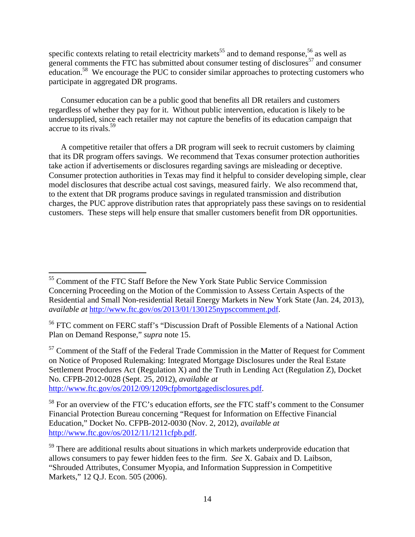specific contexts relating to retail electricity markets<sup>55</sup> and to demand response,<sup>56</sup> as well as general comments the FTC has submitted about consumer testing of disclosures<sup>57</sup> and consumer education.<sup>58</sup> We encourage the PUC to consider similar approaches to protecting customers who participate in aggregated DR programs.

Consumer education can be a public good that benefits all DR retailers and customers regardless of whether they pay for it. Without public intervention, education is likely to be undersupplied, since each retailer may not capture the benefits of its education campaign that accrue to its rivals.<sup>59</sup>

A competitive retailer that offers a DR program will seek to recruit customers by claiming that its DR program offers savings. We recommend that Texas consumer protection authorities take action if advertisements or disclosures regarding savings are misleading or deceptive. Consumer protection authorities in Texas may find it helpful to consider developing simple, clear model disclosures that describe actual cost savings, measured fairly. We also recommend that, to the extent that DR programs produce savings in regulated transmission and distribution charges, the PUC approve distribution rates that appropriately pass these savings on to residential customers. These steps will help ensure that smaller customers benefit from DR opportunities.

 $57$  Comment of the Staff of the Federal Trade Commission in the Matter of Request for Comment on Notice of Proposed Rulemaking: Integrated Mortgage Disclosures under the Real Estate Settlement Procedures Act (Regulation X) and the Truth in Lending Act (Regulation Z), Docket No. CFPB-2012-0028 (Sept. 25, 2012), *available at* http://www.ftc.gov/os/2012/09/1209cfpbmortgagedisclosures.pdf.

<sup>&</sup>lt;sup>55</sup> Comment of the FTC Staff Before the New York State Public Service Commission Concerning Proceeding on the Motion of the Commission to Assess Certain Aspects of the Residential and Small Non-residential Retail Energy Markets in New York State (Jan. 24, 2013), *available at* http://www.ftc.gov/os/2013/01/130125nypsccomment.pdf.

<sup>56</sup> FTC comment on FERC staff's "Discussion Draft of Possible Elements of a National Action Plan on Demand Response," *supra* note 15.

<sup>58</sup> For an overview of the FTC's education efforts, *see* the FTC staff's comment to the Consumer Financial Protection Bureau concerning "Request for Information on Effective Financial Education," Docket No. CFPB-2012-0030 (Nov. 2, 2012), *available at* http://www.ftc.gov/os/2012/11/1211cfpb.pdf.

<sup>&</sup>lt;sup>59</sup> There are additional results about situations in which markets underprovide education that allows consumers to pay fewer hidden fees to the firm. *See* X. Gabaix and D. Laibson, "Shrouded Attributes, Consumer Myopia, and Information Suppression in Competitive Markets," 12 Q.J. Econ. 505 (2006).